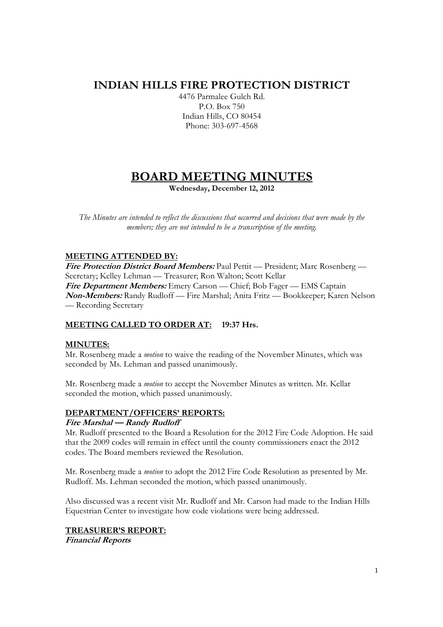## **INDIAN HILLS FIRE PROTECTION DISTRICT**

4476 Parmalee Gulch Rd. P.O. Box 750 Indian Hills, CO 80454 Phone: 303-697-4568

# **BOARD MEETING MINUTES**

**Wednesday, December 12, 2012** 

*The Minutes are intended to reflect the discussions that occurred and decisions that were made by the members; they are not intended to be a transcription of the meeting.* 

### **MEETING ATTENDED BY:**

**Fire Protection District Board Members:** Paul Pettit — President; Marc Rosenberg — Secretary; Kelley Lehman — Treasurer; Ron Walton; Scott Kellar **Fire Department Members:** Emery Carson — Chief; Bob Fager — EMS Captain **Non-Members:** Randy Rudloff — Fire Marshal; Anita Fritz — Bookkeeper; Karen Nelson — Recording Secretary

## **MEETING CALLED TO ORDER AT: 19:37 Hrs.**

#### **MINUTES:**

Mr. Rosenberg made a *motion* to waive the reading of the November Minutes, which was seconded by Ms. Lehman and passed unanimously.

Mr. Rosenberg made a *motion* to accept the November Minutes as written. Mr. Kellar seconded the motion, which passed unanimously.

## **DEPARTMENT/OFFICERS' REPORTS:**

#### **Fire Marshal — Randy Rudloff**

Mr. Rudloff presented to the Board a Resolution for the 2012 Fire Code Adoption. He said that the 2009 codes will remain in effect until the county commissioners enact the 2012 codes. The Board members reviewed the Resolution.

Mr. Rosenberg made a *motion* to adopt the 2012 Fire Code Resolution as presented by Mr. Rudloff. Ms. Lehman seconded the motion, which passed unanimously.

Also discussed was a recent visit Mr. Rudloff and Mr. Carson had made to the Indian Hills Equestrian Center to investigate how code violations were being addressed.

#### **TREASURER'S REPORT: Financial Reports**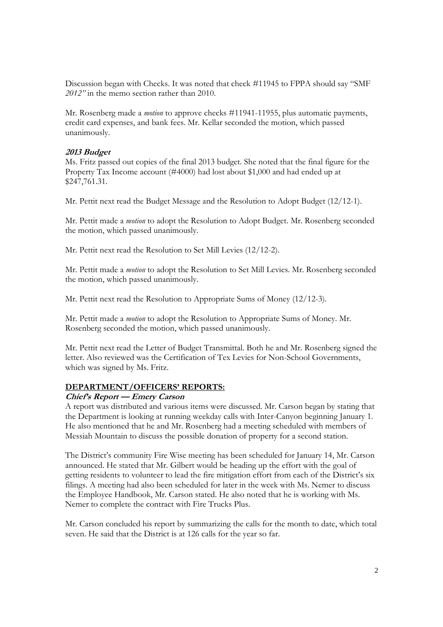Discussion began with Checks. It was noted that check #11945 to FPPA should say "SMF *2012"* in the memo section rather than 2010.

Mr. Rosenberg made a *motion* to approve checks #11941-11955, plus automatic payments, credit card expenses, and bank fees. Mr. Kellar seconded the motion, which passed unanimously.

#### **2013 Budget**

Ms. Fritz passed out copies of the final 2013 budget. She noted that the final figure for the Property Tax Income account (#4000) had lost about \$1,000 and had ended up at \$247,761.31.

Mr. Pettit next read the Budget Message and the Resolution to Adopt Budget (12/12-1).

Mr. Pettit made a *motion* to adopt the Resolution to Adopt Budget. Mr. Rosenberg seconded the motion, which passed unanimously.

Mr. Pettit next read the Resolution to Set Mill Levies (12/12-2).

Mr. Pettit made a *motion* to adopt the Resolution to Set Mill Levies. Mr. Rosenberg seconded the motion, which passed unanimously.

Mr. Pettit next read the Resolution to Appropriate Sums of Money (12/12-3).

Mr. Pettit made a *motion* to adopt the Resolution to Appropriate Sums of Money. Mr. Rosenberg seconded the motion, which passed unanimously.

Mr. Pettit next read the Letter of Budget Transmittal. Both he and Mr. Rosenberg signed the letter. Also reviewed was the Certification of Tex Levies for Non-School Governments, which was signed by Ms. Fritz.

#### **DEPARTMENT/OFFICERS' REPORTS:**

#### **Chief's Report — Emery Carson**

A report was distributed and various items were discussed. Mr. Carson began by stating that the Department is looking at running weekday calls with Inter-Canyon beginning January 1. He also mentioned that he and Mr. Rosenberg had a meeting scheduled with members of Messiah Mountain to discuss the possible donation of property for a second station.

The District's community Fire Wise meeting has been scheduled for January 14, Mr. Carson announced. He stated that Mr. Gilbert would be heading up the effort with the goal of getting residents to volunteer to lead the fire mitigation effort from each of the District's six filings. A meeting had also been scheduled for later in the week with Ms. Nemer to discuss the Employee Handbook, Mr. Carson stated. He also noted that he is working with Ms. Nemer to complete the contract with Fire Trucks Plus.

Mr. Carson concluded his report by summarizing the calls for the month to date, which total seven. He said that the District is at 126 calls for the year so far.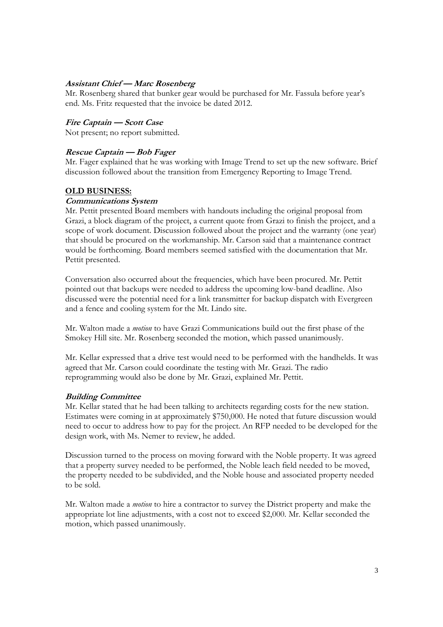#### **Assistant Chief — Marc Rosenberg**

Mr. Rosenberg shared that bunker gear would be purchased for Mr. Fassula before year's end. Ms. Fritz requested that the invoice be dated 2012.

#### **Fire Captain — Scott Case**

Not present; no report submitted.

#### **Rescue Captain — Bob Fager**

Mr. Fager explained that he was working with Image Trend to set up the new software. Brief discussion followed about the transition from Emergency Reporting to Image Trend.

#### **OLD BUSINESS:**

#### **Communications System**

Mr. Pettit presented Board members with handouts including the original proposal from Grazi, a block diagram of the project, a current quote from Grazi to finish the project, and a scope of work document. Discussion followed about the project and the warranty (one year) that should be procured on the workmanship. Mr. Carson said that a maintenance contract would be forthcoming. Board members seemed satisfied with the documentation that Mr. Pettit presented.

Conversation also occurred about the frequencies, which have been procured. Mr. Pettit pointed out that backups were needed to address the upcoming low-band deadline. Also discussed were the potential need for a link transmitter for backup dispatch with Evergreen and a fence and cooling system for the Mt. Lindo site.

Mr. Walton made a *motion* to have Grazi Communications build out the first phase of the Smokey Hill site. Mr. Rosenberg seconded the motion, which passed unanimously.

Mr. Kellar expressed that a drive test would need to be performed with the handhelds. It was agreed that Mr. Carson could coordinate the testing with Mr. Grazi. The radio reprogramming would also be done by Mr. Grazi, explained Mr. Pettit.

#### **Building Committee**

Mr. Kellar stated that he had been talking to architects regarding costs for the new station. Estimates were coming in at approximately \$750,000. He noted that future discussion would need to occur to address how to pay for the project. An RFP needed to be developed for the design work, with Ms. Nemer to review, he added.

Discussion turned to the process on moving forward with the Noble property. It was agreed that a property survey needed to be performed, the Noble leach field needed to be moved, the property needed to be subdivided, and the Noble house and associated property needed to be sold.

Mr. Walton made a *motion* to hire a contractor to survey the District property and make the appropriate lot line adjustments, with a cost not to exceed \$2,000. Mr. Kellar seconded the motion, which passed unanimously.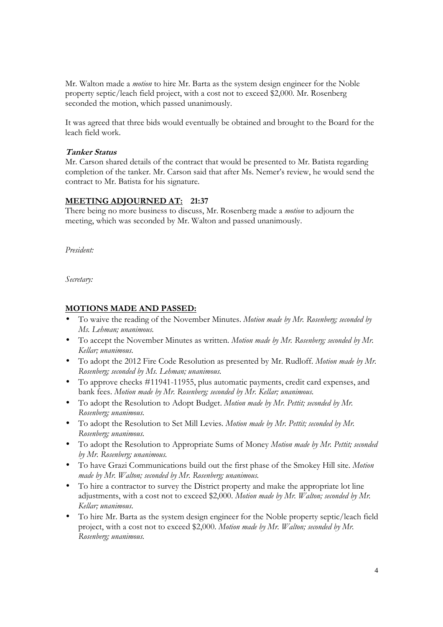Mr. Walton made a *motion* to hire Mr. Barta as the system design engineer for the Noble property septic/leach field project, with a cost not to exceed \$2,000. Mr. Rosenberg seconded the motion, which passed unanimously.

It was agreed that three bids would eventually be obtained and brought to the Board for the leach field work.

#### **Tanker Status**

Mr. Carson shared details of the contract that would be presented to Mr. Batista regarding completion of the tanker. Mr. Carson said that after Ms. Nemer's review, he would send the contract to Mr. Batista for his signature.

#### **MEETING ADJOURNED AT: 21:37**

There being no more business to discuss, Mr. Rosenberg made a *motion* to adjourn the meeting, which was seconded by Mr. Walton and passed unanimously.

*President:* 

*Secretary:* 

#### **MOTIONS MADE AND PASSED:**

- To waive the reading of the November Minutes. *Motion made by Mr. Rosenberg; seconded by Ms. Lehman; unanimous.*
- To accept the November Minutes as written. *Motion made by Mr. Rosenberg; seconded by Mr. Kellar; unanimous.*
- To adopt the 2012 Fire Code Resolution as presented by Mr. Rudloff. *Motion made by Mr. Rosenberg; seconded by Ms. Lehman; unanimous.*
- To approve checks #11941-11955, plus automatic payments, credit card expenses, and bank fees. *Motion made by Mr. Rosenberg; seconded by Mr. Kellar; unanimous.*
- To adopt the Resolution to Adopt Budget. *Motion made by Mr. Pettit; seconded by Mr. Rosenberg; unanimous.*
- To adopt the Resolution to Set Mill Levies. *Motion made by Mr. Pettit; seconded by Mr. Rosenberg; unanimous.*
- To adopt the Resolution to Appropriate Sums of Money *Motion made by Mr. Pettit; seconded by Mr. Rosenberg; unanimous.*
- To have Grazi Communications build out the first phase of the Smokey Hill site. *Motion made by Mr. Walton; seconded by Mr. Rosenberg; unanimous.*
- To hire a contractor to survey the District property and make the appropriate lot line adjustments, with a cost not to exceed \$2,000. *Motion made by Mr. Walton; seconded by Mr. Kellar; unanimous.*
- To hire Mr. Barta as the system design engineer for the Noble property septic/leach field project, with a cost not to exceed \$2,000. *Motion made by Mr. Walton; seconded by Mr. Rosenberg; unanimous.*